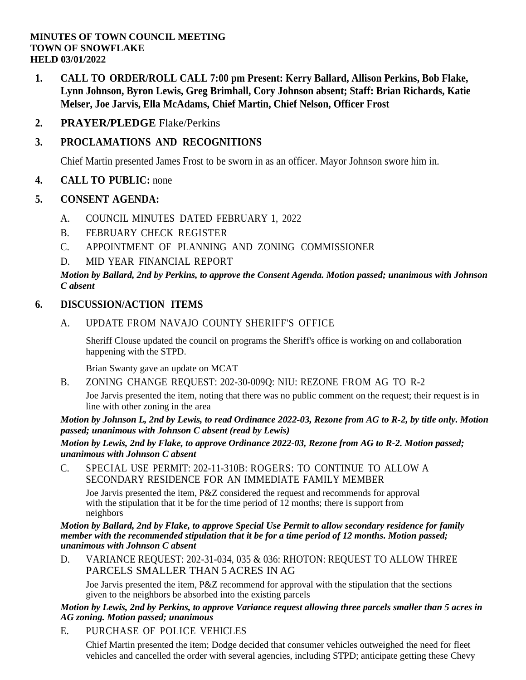### **MINUTES OF TOWN COUNCIL MEETING TOWN OF SNOWFLAKE HELD 03/01/2022**

- **1. CALL TO ORDER/ROLL CALL 7:00 pm Present: Kerry Ballard, Allison Perkins, Bob Flake, Lynn Johnson, Byron Lewis, Greg Brimhall, Cory Johnson absent; Staff: Brian Richards, Katie Melser, Joe Jarvis, Ella McAdams, Chief Martin, Chief Nelson, Officer Frost**
- **2. PRAYER/PLEDGE** Flake/Perkins

# **3. PROCLAMATIONS AND RECOGNITIONS**

Chief Martin presented James Frost to be sworn in as an officer. Mayor Johnson swore him in.

## **4. CALL TO PUBLIC:** none

## **5. CONSENT AGENDA:**

- A. COUNCIL MINUTES DATED [FEBRUARY](file:///C:/Windows/TEMP/CoverSheet.aspx) 1, 2022
- B. [FEBRUARY](file:///C:/Windows/TEMP/CoverSheet.aspx) CHECK REGISTER
- C. APPOINTMENT OF PLANNING AND ZONING [COMMISSIONER](file:///C:/Windows/TEMP/CoverSheet.aspx)
- D. MID YEAR [FINANCIAL](file:///C:/Windows/TEMP/CoverSheet.aspx) REPORT

### *Motion by Ballard, 2nd by Perkins, to approve the Consent Agenda. Motion passed; unanimous with Johnson C absent*

## **6. DISCUSSION/ACTION ITEMS**

A. UPDATE FROM NAVAJO COUNTY [SHERIFF'S](file:///C:/Windows/TEMP/CoverSheet.aspx) OFFICE

Sheriff Clouse updated the council on programs the Sheriff's office is working on and collaboration happening with the STPD.

Brian Swanty gave an update on MCAT

B. ZONING CHANGE REQUEST: [202-30-009Q:](file:///C:/Windows/TEMP/CoverSheet.aspx) NIU: REZONE FROM AG TO R-2

Joe Jarvis presented the item, noting that there was no public comment on the request; their request is in line with other zoning in the area

*Motion by Johnson L, 2nd by Lewis, to read Ordinance 2022-03, Rezone from AG to R-2, by title only. Motion passed; unanimous with Johnson C absent (read by Lewis)*

*Motion by Lewis, 2nd by Flake, to approve Ordinance 2022-03, Rezone from AG to R-2. Motion passed; unanimous with Johnson C absent*

C. SPECIAL USE PERMIT: [202-11-310B:](file:///C:/Windows/TEMP/CoverSheet.aspx) ROGERS: TO CONTINUE TO ALLOW A [SECONDARY](file:///C:/Windows/TEMP/CoverSheet.aspx) RESIDENCE FOR AN IMMEDIATE FAMILY MEMBER

Joe Jarvis presented the item, P&Z considered the request and recommends for approval with the stipulation that it be for the time period of  $12$  months; there is support from neighbors

#### *Motion by Ballard, 2nd by Flake, to approve Special Use Permit to allow secondary residence for family member with the recommended stipulation that it be for a time period of 12 months. Motion passed; unanimous with Johnson C absent*

D. VARIANCE REQUEST: 202-31-034, 035 & [036: RHOTON: REQUEST](file:///C:/Windows/TEMP/CoverSheet.aspx) TO ALLOW THREE PARCELS [SMALLER](file:///C:/Windows/TEMP/CoverSheet.aspx) THAN 5 ACRES IN AG

Joe Jarvis presented the item, P&Z recommend for approval with the stipulation that the sections given to the neighbors be absorbed into the existing parcels

### *Motion by Lewis, 2nd by Perkins, to approve Variance request allowing three parcels smaller than 5 acres in AG zoning. Motion passed; unanimous*

E. [PURCHASE](file:///C:/Windows/TEMP/CoverSheet.aspx) OF POLICE VEHICLES

Chief Martin presented the item; Dodge decided that consumer vehicles outweighed the need for fleet vehicles and cancelled the order with several agencies, including STPD; anticipate getting these Chevy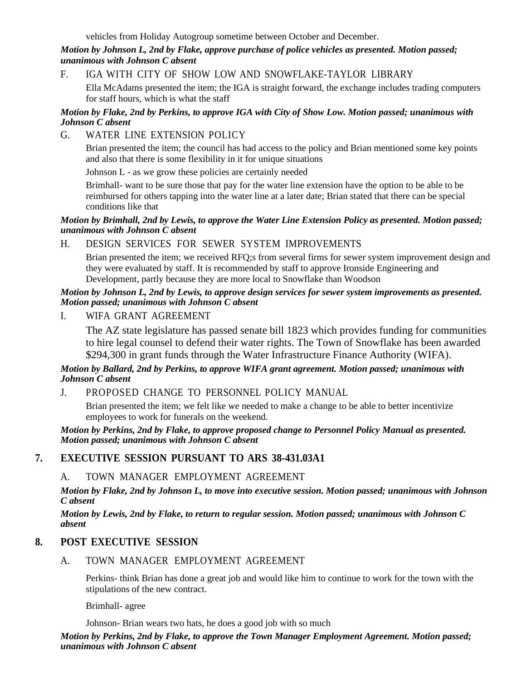vehicles from Holiday Autogroup sometime between October and December.

#### *Motion by Johnson L, 2nd by Flake, approve purchase of police vehicles as presented. Motion passed; unanimous with Johnson C absent*

F. IGA WITH CITY OF SHOW LOW AND [SNOWFLAKE-TAYLOR](file:///C:/Windows/TEMP/CoverSheet.aspx) LIBRARY

Ella McAdams presented the item; the IGA is straight forward, the exchange includes trading computers for staff hours, which is what the staff

#### *Motion by Flake, 2nd by Perkins, to approve IGA with City of Show Low. Motion passed; unanimous with Johnson C absent*

G. WATER LINE [EXTENSION](file:///C:/Windows/TEMP/CoverSheet.aspx) POLICY

Brian presented the item; the council has had access to the policy and Brian mentioned some key points and also that there is some flexibility in it for unique situations

Johnson L - as we grow these policies are certainly needed

Brimhall- want to be sure those that pay for the water line extension have the option to be able to be reimbursed for others tapping into the water line at a later date; Brian stated that there can be special conditions like that

#### *Motion by Brimhall, 2nd by Lewis, to approve the Water Line Extension Policy as presented. Motion passed; unanimous with Johnson C absent*

### H. DESIGN SERVICES FOR SEWER SYSTEM [IMPROVEMENTS](file:///C:/Windows/TEMP/CoverSheet.aspx)

Brian presented the item; we received RFQ;s from several firms for sewer system improvement design and they were evaluated by staff. It is recommended by staff to approve Ironside Engineering and Development, partly because they are more local to Snowflake than Woodson

#### *Motion by Johnson L, 2nd by Lewis, to approve design services for sewer system improvements as presented. Motion passed; unanimous with Johnson C absent*

I. WIFA GRANT [AGREEMENT](file:///C:/Windows/TEMP/CoverSheet.aspx)

The AZ state legislature has passed senate bill 1823 which provides funding for communities to hire legal counsel to defend their water rights. The Town of Snowflake has been awarded \$294,300 in grant funds through the Water Infrastructure Finance Authority (WIFA).

### *Motion by Ballard, 2nd by Perkins, to approve WIFA grant agreement. Motion passed; unanimous with Johnson C absent*

J. PROPOSED CHANGE TO [PERSONNEL](file:///C:/Windows/TEMP/CoverSheet.aspx) POLICY MANUAL

Brian presented the item; we felt like we needed to make a change to be able to better incentivize employees to work for funerals on the weekend.

#### *Motion by Perkins, 2nd by Flake, to approve proposed change to Personnel Policy Manual as presented. Motion passed; unanimous with Johnson C absent*

## **7. EXECUTIVE SESSION PURSUANT TO ARS 38-431.03A1**

### A. TOWN MANAGER [EMPLOYMENT](file:///C:/Windows/TEMP/CoverSheet.aspx) AGREEMENT

*Motion by Flake, 2nd by Johnson L, to move into executive session. Motion passed; unanimous with Johnson C absent*

*Motion by Lewis, 2nd by Flake, to return to regular session. Motion passed; unanimous with Johnson C absent*

### **8. POST EXECUTIVE SESSION**

A. TOWN MANAGER [EMPLOYMENT](file:///C:/Windows/TEMP/CoverSheet.aspx) AGREEMENT

Perkins- think Brian has done a great job and would like him to continue to work for the town with the stipulations of the new contract.

Brimhall- agree

Johnson- Brian wears two hats, he does a good job with so much

*Motion by Perkins, 2nd by Flake, to approve the Town Manager Employment Agreement. Motion passed; unanimous with Johnson C absent*